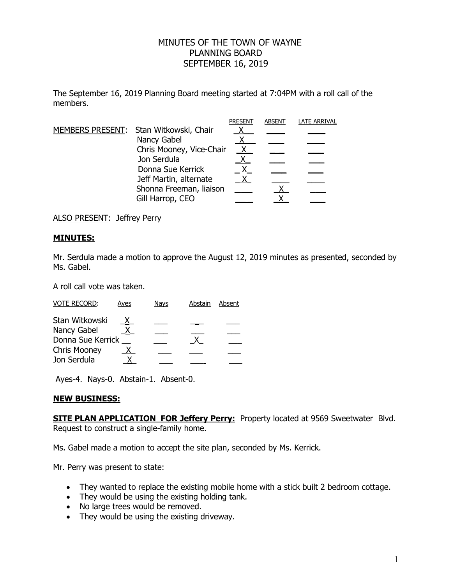## MINUTES OF THE TOWN OF WAYNE PLANNING BOARD SEPTEMBER 16, 2019

The September 16, 2019 Planning Board meeting started at 7:04PM with a roll call of the members.

|  |                                        | <b>PRESENT</b> | <b>ABSENT</b> | <b>LATE ARRIVAL</b> |
|--|----------------------------------------|----------------|---------------|---------------------|
|  | MEMBERS PRESENT: Stan Witkowski, Chair |                |               |                     |
|  | Nancy Gabel                            |                |               |                     |
|  | Chris Mooney, Vice-Chair               | $\mathsf{X}$   |               |                     |
|  | Jon Serdula                            |                |               |                     |
|  | Donna Sue Kerrick                      |                |               |                     |
|  | Jeff Martin, alternate                 |                |               |                     |
|  | Shonna Freeman, liaison                |                |               |                     |
|  | Gill Harrop, CEO                       |                |               |                     |

ALSO PRESENT: Jeffrey Perry

## **MINUTES:**

Mr. Serdula made a motion to approve the August 12, 2019 minutes as presented, seconded by Ms. Gabel.

A roll call vote was taken.

| <b>VOTE RECORD:</b> | Ayes | Nays | Abstain | Absent |
|---------------------|------|------|---------|--------|
| Stan Witkowski      | X.   |      |         |        |
| Nancy Gabel         |      |      |         |        |
| Donna Sue Kerrick   |      |      |         |        |
| <b>Chris Mooney</b> | X.   |      |         |        |
| Jon Serdula         |      |      |         |        |

Ayes-4. Nays-0. Abstain-1. Absent-0.

## **NEW BUSINESS:**

**SITE PLAN APPLICATION FOR Jeffery Perry:** Property located at 9569 Sweetwater Blvd. Request to construct a single-family home.

Ms. Gabel made a motion to accept the site plan, seconded by Ms. Kerrick.

Mr. Perry was present to state:

- They wanted to replace the existing mobile home with a stick built 2 bedroom cottage.
- They would be using the existing holding tank.
- No large trees would be removed.
- They would be using the existing driveway.